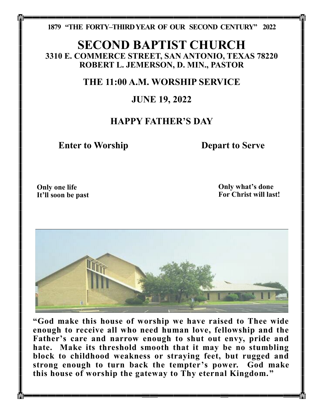**1879 "THE FORTY–THIRD YEAR OF OUR SECOND CENTURY" 2022**

# **SECOND BAPTIST CHURCH 3310 E. COMMERCE STREET, SAN ANTONIO, TEXAS 78220 ROBERT L. JEMERSON, D. MIN., PASTOR**

# **THE 11:00 A.M. WORSHIP SERVICE**

## **JUNE 19, 2022**

# **HAPPY FATHER'S DAY**

**Enter to Worship Depart to Serve** 

**Only one life It'll soon be past** **Only what's done For Christ will last!**



**"God make this house of worship we have raised to Thee wide enough to receive all who need human love, fellowship and the Father's care and narrow enough to shut out envy, pride and hate. Make its threshold smooth that it may be no stumbling block to childhood weakness or straying feet, but rugged and strong enough to turn back the tempter's power. God make this house of worship the gateway to Thy eternal Kingdom."**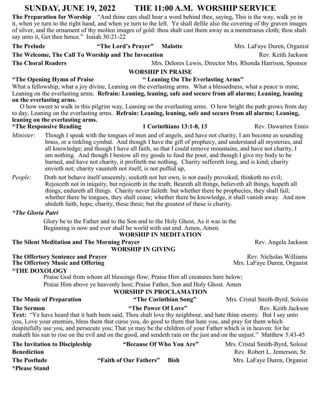## **SUNDAY, JUNE 19, 2022 THE 11:00 A.M. WORSHIP SERVICE**

**The Preparation for Worship** "And thine ears shall hear a word behind thee, saying, This is the way, walk ye in it, when ye turn to the right hand, and when ye turn to the left. Ye shall defile also the covering of thy graven images of silver, and the ornament of thy molten images of gold: thou shalt cast them away as a menstruous cloth; thou shalt say unto it, Get thee hence." Isaiah 30:21-22

**The Prelude "The Lord's Prayer" Malotte** Mrs. LaFaye Duren, Organist **The Welcome, The Call To Worship and The Invocation Rev. Keith Jackson** Rev. Keith Jackson **The Choral Readers** Mrs. Delores Lewis, Director Mrs. Rhonda Harrison, Sponsor **WORSHIP IN PRAISE \*The Opening Hymn of Praise " Leaning On The Everlasting Arms"**  What a fellowship, what a joy divine, Leaning on the everlasting arms. What a blessedness, what a peace is mine, Leaning on the everlasting arms. **Refrain: Leaning, leaning, safe and secure from all alarms; Leaning, leaning on the everlasting arms.** O how sweet to walk in this pilgrim way, Leaning on the everlasting arms. O how bright the path grows from day to day, Leaning on the everlasting arms. **Refrain: Leaning, leaning, safe and secure from all alarms; Leaning, leaning on the everlasting arms. \*The Responsive Reading 1 Corinthians 13:1-8, 13** Rev. Dawarren Ennis *Minister*: Though I speak with the tongues of men and of angels, and have not charity, I am become as sounding brass, or a tinkling cymbal. And though I have the gift of prophecy, and understand all mysteries, and all knowledge; and though I have all faith, so that I could remove mountains, and have not charity, I am nothing. And though I bestow all my goods to feed the poor, and though I give my body to be burned, and have not charity, it profiteth me nothing. Charity suffereth long, and is kind; charity envieth not; charity vaunteth not itself, is not puffed up, *People:* Doth not behave itself unseemly, seeketh not her own, is not easily provoked, thinketh no evil; Rejoiceth not in iniquity, but rejoiceth in the truth; Beareth all things, believeth all things, hopeth all things, endureth all things. Charity never faileth: but whether there be prophecies, they shall fail; whether there be tongues, they shall cease; whether there be knowledge, it shall vanish away. And now abideth faith, hope, charity, these three; but the greatest of these is charity. *\*The Gloria Patri* Glory be to the Father and to the Son and to the Holy Ghost, As it was in the Beginning is now and ever shall be world with out end. Amen, Amen. **WORSHIP IN MEDITATION The Silent Meditation and The Morning Prayer <b>Rev.** Angela Jackson  **WORSHIP IN GIVING The Offertory Sentence and Prayer** <br> **Rev. Nicholas Williams The Offertory Music and Offering** Mrs. LaFaye Duren, Organist Mrs. LaFaye Duren, Organist **\*THE DOXOLOGY**

> Praise God from whom all blessings flow; Praise Him all creatures here below; Praise Him above ye heavenly host; Praise Father, Son and Holy Ghost. Amen

**\*Please Stand**

#### **WORSHIP IN PROCLAMATION**

| <b>The Music of Preparation</b>                                                                                      | "The Corinthian Song"                                                                                          | Mrs. Cristal Smith-Byrd, Soloist                                                                                        |  |  |
|----------------------------------------------------------------------------------------------------------------------|----------------------------------------------------------------------------------------------------------------|-------------------------------------------------------------------------------------------------------------------------|--|--|
| <b>The Sermon</b>                                                                                                    | "The Power Of Love"                                                                                            | Rev. Keith Jackson                                                                                                      |  |  |
| Text: "Ye have heard that it hath been said, Thou shalt love thy neighbour, and hate thine enemy. But I say unto     |                                                                                                                |                                                                                                                         |  |  |
| you, Love your enemies, bless them that curse you, do good to them that hate you, and pray for them which            |                                                                                                                |                                                                                                                         |  |  |
|                                                                                                                      | despitefully use you, and persecute you; That ye may be the children of your Father which is in heaven: for he |                                                                                                                         |  |  |
| maketh his sun to rise on the evil and on the good, and sendeth rain on the just and on the unjust." Matthew 5:43-45 |                                                                                                                |                                                                                                                         |  |  |
| The Invitation to Discipleship                                                                                       | "Because Of Who You Are"                                                                                       | Mrs. Cristal Smith-Byrd, Soloist                                                                                        |  |  |
| <b>Ronadiction</b>                                                                                                   |                                                                                                                | $\mathbf{p}_{\alpha v}$ $\mathbf{p}_{\alpha h}$ $\mathbf{p}_{\alpha h}$ $\mathbf{p}_{\alpha h}$ $\mathbf{p}_{\alpha h}$ |  |  |

**Benediction Rev. Robert L. Jemerson, Sr. Rev. Robert L. Jemerson, Sr. The Postlude "Faith of Our Fathers" Bish** Mrs. LaFaye Duren, Organist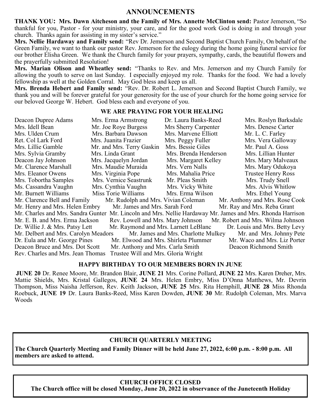## **ANNOUNCEMENTS**

**THANK YOU: Mrs. Dawn Aitcheson and the Family of Mrs. Annette McClinton send:** Pastor Jemerson, "So thankful for you, Pastor - for your ministry, your care, and for the good work God is doing in and through your church. Thanks again for assisting in my sister's service."

**Mrs. Nellie Hardaway and Family send:** "Rev Dr. Jemerson and Second Baptist Church Family, On behalf of the Green Family, we want to thank our pastor Rev. Jemerson for the eulogy during the home going funeral service for our brother Elisha Green. We thank the Church family for your prayers, sympathy, cards, the beautiful flowers and the prayerfully submitted Resolution!

**Mrs. Marian Olison and Wheatley send:** "Thanks to Rev. and Mrs. Jemerson and my Church Family for allowing the youth to serve on last Sunday. I especially enjoyed my role. Thanks for the food. We had a lovely fellowship as well at the Golden Corral. May God bless and keep us all.

**Mrs. Brenda Hebert and Family send:** "Rev. Dr. Robert L. Jemerson and Second Baptist Church Family, we thank you and will be forever grateful for your generosity for the use of your church for the home going service for our beloved George W. Hebert. God bless each and everyone of you.

#### **WE ARE PRAYING FOR YOUR HEALING**

| Deacon Dupree Adams                                                                                        | Mrs. Erma Armstrong                  | Dr. Laura Banks-Reed  | Mrs. Roslyn Barksdale         |  |  |
|------------------------------------------------------------------------------------------------------------|--------------------------------------|-----------------------|-------------------------------|--|--|
| Mrs. Idell Bean                                                                                            | Mr. Joe Roye Burgess                 | Mrs Sherry Carpenter  | Mrs. Denese Carter            |  |  |
| Mrs. Ulden Crum                                                                                            | Mrs. Barbara Dawson                  | Mrs. Marvene Elliott  | Mr. L. C. Farley              |  |  |
| Ret. Col Lark Ford                                                                                         | Mrs. Juanita Frazier                 | Mrs. Peggy Fuller     | Mrs. Vera Galloway            |  |  |
| Mrs. Lillie Gamble                                                                                         | Mr. and Mrs. Terry Gaskin            | Mrs. Bessie Giles     | Mr. Paul A. Goss              |  |  |
| Mrs. Sylvia Gramby                                                                                         | Mrs. Linda Grant                     | Mrs. Brenda Henderson | Mrs. Lillian Hunter           |  |  |
| Deacon Jay Johnson                                                                                         | Mrs. Jacquelyn Jordan                | Mrs. Margaret Kelley  | Mrs. Mary Malveaux            |  |  |
| Mr. Clarence Marshall                                                                                      | Mrs. Maudie Muraida                  | Mrs. Vern Nalls       | Mrs. Mary Odukoya             |  |  |
| Mrs. Eleanor Owens                                                                                         | Mrs. Virginia Pope                   | Mrs. Mahalia Price    | <b>Trustee Henry Ross</b>     |  |  |
| Mrs. Tobortha Samples                                                                                      | Mrs. Vernice Seastrunk               | Mr. Pleas Smith       | Mrs. Trudy Snell              |  |  |
| Ms. Cassandra Vaughn                                                                                       | Mrs. Cynthia Vaughn                  | Mrs. Vicky White      | Mrs. Alvis Whitlow            |  |  |
| Mr. Burnett Williams                                                                                       | Miss Torie Williams                  | Mrs. Erma Wilson      | Mrs. Ethel Young              |  |  |
| Mr. Anthony and Mrs. Rose Cook<br>Mr. Clarence Bell and Family<br>Mr. Rudolph and Mrs. Vivian Coleman      |                                      |                       |                               |  |  |
| Mr. Henry and Mrs. Helen Embry Mr. James and Mrs. Sarah Ford<br>Mr. Ray and Mrs. Reba Grant                |                                      |                       |                               |  |  |
| Mr. Charles and Mrs. Sandra Gunter Mr. Lincoln and Mrs. Nellie Hardaway Mr. James and Mrs. Rhonda Harrison |                                      |                       |                               |  |  |
| Mr. E. B. and Mrs. Erma Jackson<br>Rev. Lowell and Mrs. Mary Johnson<br>Mr. Robert and Mrs. Wilma Johnson  |                                      |                       |                               |  |  |
| Dr. Willie J. & Mrs. Patsy Lett                                                                            | Mr. Raymond and Mrs. Larnett LeBlanc |                       | Dr. Louis and Mrs. Betty Levy |  |  |
| Mr. Delbert and Mrs. Carolyn Meadors<br>Mr. James and Mrs. Charlotte Mulkey<br>Mr. and Mrs. Johnny Pete    |                                      |                       |                               |  |  |
| Dr. Eula and Mr. George Pines                                                                              | Mr. Elwood and Mrs. Shirleta Plummer |                       | Mr. Waco and Mrs. Liz Porter  |  |  |
| Deacon Bruce and Mrs. Dot Scott                                                                            | Mr. Anthony and Mrs. Carla Smith     |                       | Deacon Richmond Smith         |  |  |
| Trustee Will and Mrs. Gloria Wright<br>Rev. Charles and Mrs. Jean Thomas                                   |                                      |                       |                               |  |  |

#### **HAPPY BIRTHDAY TO OUR MEMBERS BORN IN JUNE**

**JUNE 20** Dr. Renee Moore, Mr. Brandon Blair, **JUNE 21** Mrs. Corine Pollard, **JUNE 22** Mrs. Karen Dreher, Mrs. Mattie Shields, Mrs. Kristal Gallegos, **JUNE 24** Mrs. Helen Embry, Miss D'Onna Matthews, Mr. Devrin Thompson, Miss Naisha Jefferson, Rev. Keith Jackson, **JUNE 25** Mrs. Rita Hemphill, **JUNE 28** Miss Rhonda Roebuck, **JUNE 19** Dr. Laura Banks-Reed, Miss Karen Dowden, **JUNE 30** Mr. Rudolph Coleman, Mrs. Marva Woods

## **CHURCH QUARTERLY MEETING**

**The Church Quarterly Meeting and Family Dinner will be held June 27, 2022, 6:00 p.m. - 8:00 p.m. All members are asked to attend.**

#### **CHURCH OFFICE CLOSED**

**The Church office will be closed Monday, June 20, 2022 in observance of the Juneteenth Holiday**